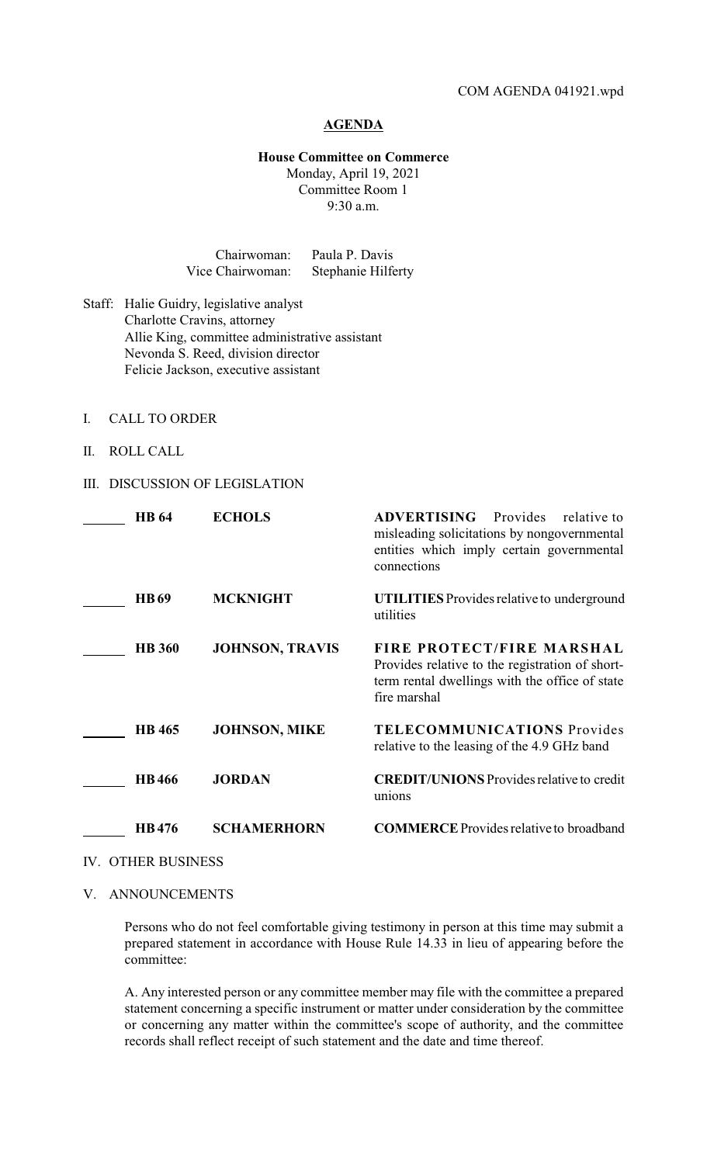## **AGENDA**

## **House Committee on Commerce**

Monday, April 19, 2021 Committee Room 1 9:30 a.m.

| Chairwoman:      | Paula P. Davis     |
|------------------|--------------------|
| Vice Chairwoman: | Stephanie Hilferty |

- Staff: Halie Guidry, legislative analyst Charlotte Cravins, attorney Allie King, committee administrative assistant Nevonda S. Reed, division director Felicie Jackson, executive assistant
- I. CALL TO ORDER
- II. ROLL CALL

## III. DISCUSSION OF LEGISLATION

| <b>HB</b> 64  | <b>ECHOLS</b>          | <b>ADVERTISING</b><br>Provides<br>relative to<br>misleading solicitations by nongovernmental<br>entities which imply certain governmental<br>connections |
|---------------|------------------------|----------------------------------------------------------------------------------------------------------------------------------------------------------|
| <b>HB69</b>   | <b>MCKNIGHT</b>        | <b>UTILITIES</b> Provides relative to underground<br>utilities                                                                                           |
| <b>HB</b> 360 | <b>JOHNSON, TRAVIS</b> | FIRE PROTECT/FIRE MARSHAL<br>Provides relative to the registration of short-<br>term rental dwellings with the office of state<br>fire marshal           |
| <b>HB</b> 465 | <b>JOHNSON, MIKE</b>   | <b>TELECOMMUNICATIONS Provides</b><br>relative to the leasing of the 4.9 GHz band                                                                        |
| <b>HB466</b>  | <b>JORDAN</b>          | <b>CREDIT/UNIONS</b> Provides relative to credit<br>unions                                                                                               |
| HB476         | <b>SCHAMERHORN</b>     | <b>COMMERCE</b> Provides relative to broadband                                                                                                           |

- IV. OTHER BUSINESS
- V. ANNOUNCEMENTS

Persons who do not feel comfortable giving testimony in person at this time may submit a prepared statement in accordance with House Rule 14.33 in lieu of appearing before the committee:

A. Any interested person or any committee member may file with the committee a prepared statement concerning a specific instrument or matter under consideration by the committee or concerning any matter within the committee's scope of authority, and the committee records shall reflect receipt of such statement and the date and time thereof.